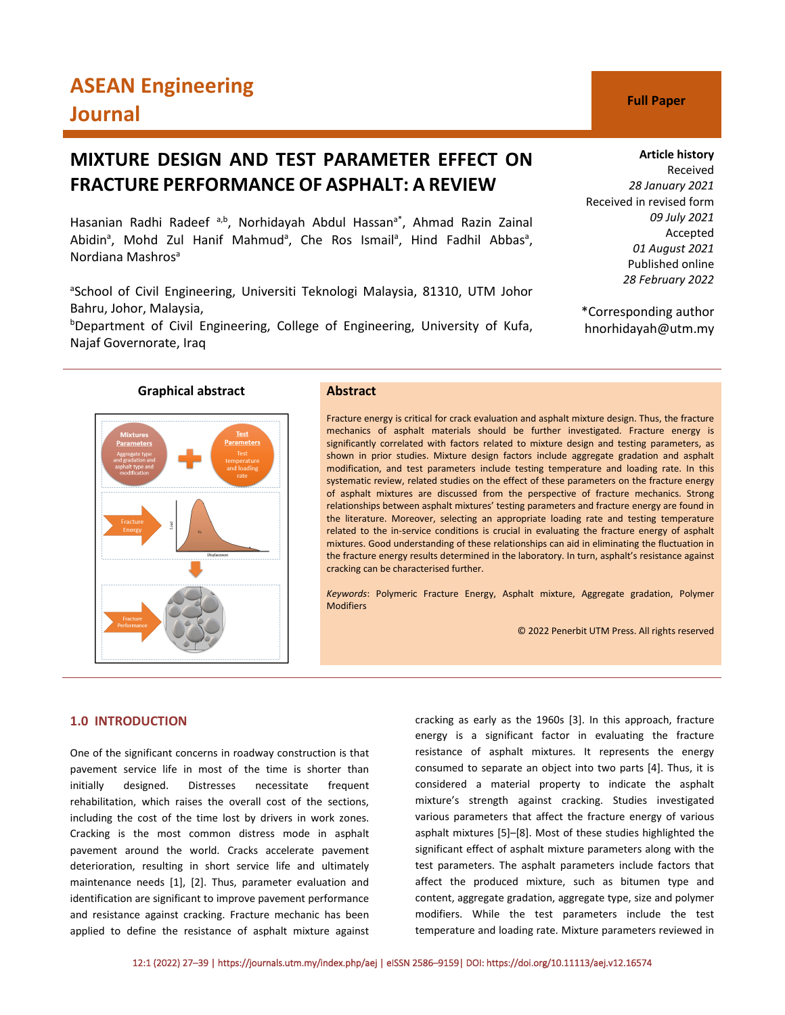# **ASEAN Engineering Journal C Full Paper**

## **MIXTURE DESIGN AND TEST PARAMETER EFFECT ON FRACTURE PERFORMANCE OF ASPHALT: A REVIEW**

Hasanian Radhi Radeef a,b, Norhidayah Abdul Hassan<sup>a\*</sup>, Ahmad Razin Zainal Abidin<sup>a</sup>, Mohd Zul Hanif Mahmud<sup>a</sup>, Che Ros Ismail<sup>a</sup>, Hind Fadhil Abbas<sup>a</sup>, Nordiana Mashros<sup>a</sup>

<sup>a</sup>School of Civil Engineering, Universiti Teknologi Malaysia, 81310, UTM Johor Bahru, Johor, Malaysia,

b Department of Civil Engineering, College of Engineering, University of Kufa, Najaf Governorate, Iraq

### **Graphical abstract Abstract**

Fracture energy is critical for crack evaluation and asphalt mixture design. Thus, the fracture mechanics of asphalt materials should be further investigated. Fracture energy is significantly correlated with factors related to mixture design and testing parameters, as shown in prior studies. Mixture design factors include aggregate gradation and asphalt modification, and test parameters include testing temperature and loading rate. In this systematic review, related studies on the effect of these parameters on the fracture energy of asphalt mixtures are discussed from the perspective of fracture mechanics. Strong relationships between asphalt mixtures' testing parameters and fracture energy are found in the literature. Moreover, selecting an appropriate loading rate and testing temperature related to the in-service conditions is crucial in evaluating the fracture energy of asphalt mixtures. Good understanding of these relationships can aid in eliminating the fluctuation in the fracture energy results determined in the laboratory. In turn, asphalt's resistance against cracking can be characterised further.

*Keywords*: Polymeric Fracture Energy, Asphalt mixture, Aggregate gradation, Polymer **Modifiers** 

© 2022 Penerbit UTM Press. All rights reserved

### **1.0 INTRODUCTION**

One of the significant concerns in roadway construction is that pavement service life in most of the time is shorter than initially designed. Distresses necessitate frequent rehabilitation, which raises the overall cost of the sections, including the cost of the time lost by drivers in work zones. Cracking is the most common distress mode in asphalt pavement around the world. Cracks accelerate pavement deterioration, resulting in short service life and ultimately maintenance needs [1], [2]. Thus, parameter evaluation and identification are significant to improve pavement performance and resistance against cracking. Fracture mechanic has been applied to define the resistance of asphalt mixture against

cracking as early as the 1960s [3]. In this approach, fracture energy is a significant factor in evaluating the fracture resistance of asphalt mixtures. It represents the energy consumed to separate an object into two parts [4]. Thus, it is considered a material property to indicate the asphalt mixture's strength against cracking. Studies investigated various parameters that affect the fracture energy of various asphalt mixtures [5]–[8]. Most of these studies highlighted the significant effect of asphalt mixture parameters along with the test parameters. The asphalt parameters include factors that affect the produced mixture, such as bitumen type and content, aggregate gradation, aggregate type, size and polymer modifiers. While the test parameters include the test temperature and loading rate. Mixture parameters reviewed in

Received *28 January 2021* Received in revised form *09 July 2021* Accepted *01 August 2021* Published online *28 February 2022*

\*Corresponding author hnorhidayah@utm.my

**Article history**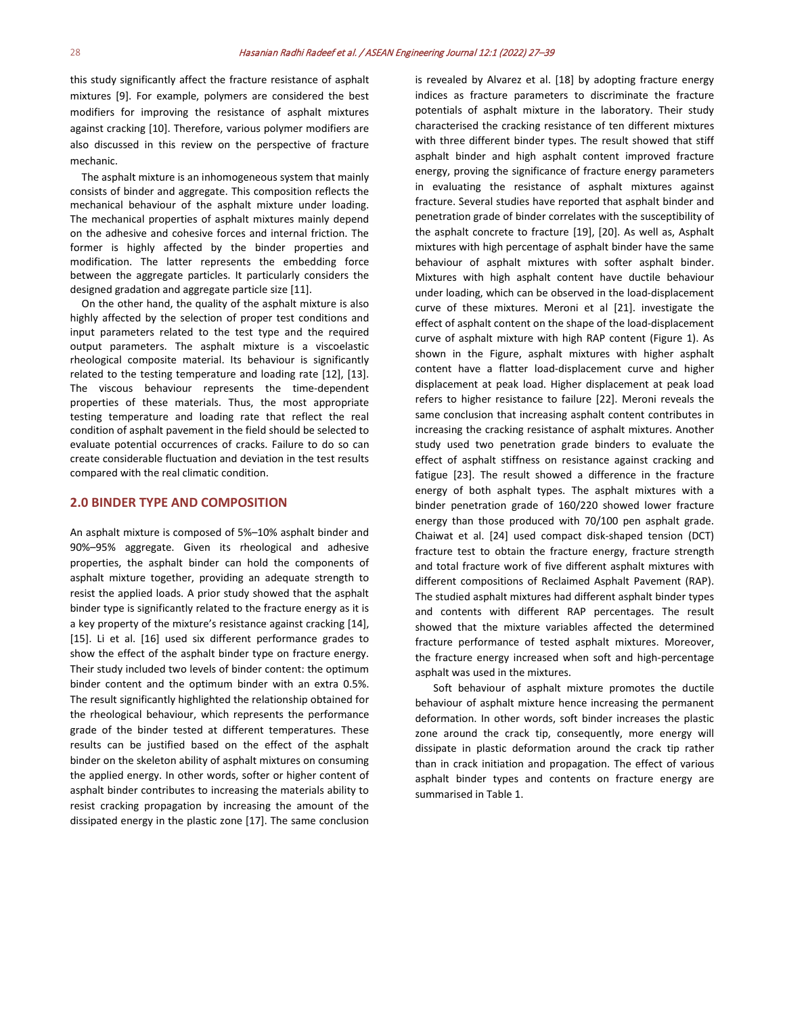this study significantly affect the fracture resistance of asphalt mixtures [9]. For example, polymers are considered the best modifiers for improving the resistance of asphalt mixtures against cracking [10]. Therefore, various polymer modifiers are also discussed in this review on the perspective of fracture mechanic.

The asphalt mixture is an inhomogeneous system that mainly consists of binder and aggregate. This composition reflects the mechanical behaviour of the asphalt mixture under loading. The mechanical properties of asphalt mixtures mainly depend on the adhesive and cohesive forces and internal friction. The former is highly affected by the binder properties and modification. The latter represents the embedding force between the aggregate particles. It particularly considers the designed gradation and aggregate particle size [11].

On the other hand, the quality of the asphalt mixture is also highly affected by the selection of proper test conditions and input parameters related to the test type and the required output parameters. The asphalt mixture is a viscoelastic rheological composite material. Its behaviour is significantly related to the testing temperature and loading rate [12], [13]. The viscous behaviour represents the time-dependent properties of these materials. Thus, the most appropriate testing temperature and loading rate that reflect the real condition of asphalt pavement in the field should be selected to evaluate potential occurrences of cracks. Failure to do so can create considerable fluctuation and deviation in the test results compared with the real climatic condition.

#### **2.0 BINDER TYPE AND COMPOSITION**

An asphalt mixture is composed of 5%–10% asphalt binder and 90%–95% aggregate. Given its rheological and adhesive properties, the asphalt binder can hold the components of asphalt mixture together, providing an adequate strength to resist the applied loads. A prior study showed that the asphalt binder type is significantly related to the fracture energy as it is a key property of the mixture's resistance against cracking [14], [15]. Li et al. [16] used six different performance grades to show the effect of the asphalt binder type on fracture energy. Their study included two levels of binder content: the optimum binder content and the optimum binder with an extra 0.5%. The result significantly highlighted the relationship obtained for the rheological behaviour, which represents the performance grade of the binder tested at different temperatures. These results can be justified based on the effect of the asphalt binder on the skeleton ability of asphalt mixtures on consuming the applied energy. In other words, softer or higher content of asphalt binder contributes to increasing the materials ability to resist cracking propagation by increasing the amount of the dissipated energy in the plastic zone [17]. The same conclusion is revealed by Alvarez et al. [18] by adopting fracture energy indices as fracture parameters to discriminate the fracture potentials of asphalt mixture in the laboratory. Their study characterised the cracking resistance of ten different mixtures with three different binder types. The result showed that stiff asphalt binder and high asphalt content improved fracture energy, proving the significance of fracture energy parameters in evaluating the resistance of asphalt mixtures against fracture. Several studies have reported that asphalt binder and penetration grade of binder correlates with the susceptibility of the asphalt concrete to fracture [19], [20]. As well as, Asphalt mixtures with high percentage of asphalt binder have the same behaviour of asphalt mixtures with softer asphalt binder. Mixtures with high asphalt content have ductile behaviour under loading, which can be observed in the load-displacement curve of these mixtures. Meroni et al [21]. investigate the effect of asphalt content on the shape of the load-displacement curve of asphalt mixture with high RAP content (Figure 1). As shown in the Figure, asphalt mixtures with higher asphalt content have a flatter load-displacement curve and higher displacement at peak load. Higher displacement at peak load refers to higher resistance to failure [22]. Meroni reveals the same conclusion that increasing asphalt content contributes in increasing the cracking resistance of asphalt mixtures. Another study used two penetration grade binders to evaluate the effect of asphalt stiffness on resistance against cracking and fatigue [23]. The result showed a difference in the fracture energy of both asphalt types. The asphalt mixtures with a binder penetration grade of 160/220 showed lower fracture energy than those produced with 70/100 pen asphalt grade. Chaiwat et al. [24] used compact disk-shaped tension (DCT) fracture test to obtain the fracture energy, fracture strength and total fracture work of five different asphalt mixtures with different compositions of Reclaimed Asphalt Pavement (RAP). The studied asphalt mixtures had different asphalt binder types and contents with different RAP percentages. The result showed that the mixture variables affected the determined fracture performance of tested asphalt mixtures. Moreover, the fracture energy increased when soft and high-percentage asphalt was used in the mixtures.

Soft behaviour of asphalt mixture promotes the ductile behaviour of asphalt mixture hence increasing the permanent deformation. In other words, soft binder increases the plastic zone around the crack tip, consequently, more energy will dissipate in plastic deformation around the crack tip rather than in crack initiation and propagation. The effect of various asphalt binder types and contents on fracture energy are summarised in Table 1.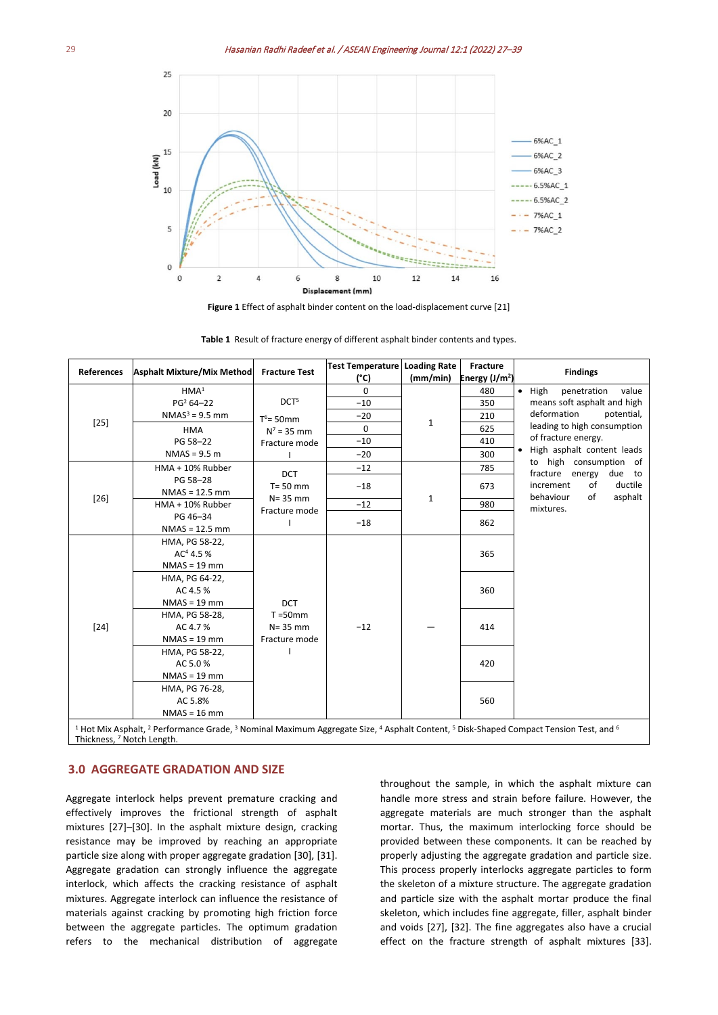

**Figure 1** Effect of asphalt binder content on the load-displacement curve [21]

| <b>References</b>                                                                                                                                                                                                                      | Asphalt Mixture/Mix Method Fracture Test |                  | <b>Test Temperature Loading Rate</b> |             | <b>Fracture</b> | <b>Findings</b>                                     |  |  |
|----------------------------------------------------------------------------------------------------------------------------------------------------------------------------------------------------------------------------------------|------------------------------------------|------------------|--------------------------------------|-------------|-----------------|-----------------------------------------------------|--|--|
|                                                                                                                                                                                                                                        |                                          |                  | (°C)                                 | (mm/min)    | Energy $(J/m2)$ |                                                     |  |  |
| $[25]$                                                                                                                                                                                                                                 | HMA <sup>1</sup>                         |                  | $\Omega$                             |             | 480             | $\bullet$ High<br>penetration<br>value              |  |  |
|                                                                                                                                                                                                                                        | $PG2 64 - 22$                            | DCT <sup>5</sup> | $-10$                                |             | 350             | means soft asphalt and high                         |  |  |
|                                                                                                                                                                                                                                        | $NMAS3 = 9.5$ mm                         | $T^6$ = 50mm     | $-20$                                | $\mathbf 1$ | 210             | deformation<br>potential,                           |  |  |
|                                                                                                                                                                                                                                        | <b>HMA</b>                               | $N^7$ = 35 mm    | 0                                    |             | 625             | leading to high consumption                         |  |  |
|                                                                                                                                                                                                                                        | PG 58-22                                 | Fracture mode    | $-10$                                |             | 410             | of fracture energy.                                 |  |  |
|                                                                                                                                                                                                                                        | $NMAS = 9.5 m$                           |                  | $-20$                                |             | 300             | • High asphalt content leads                        |  |  |
|                                                                                                                                                                                                                                        | HMA + 10% Rubber                         | <b>DCT</b>       | $-12$                                | $\mathbf 1$ | 785             | to high consumption of<br>fracture energy<br>due to |  |  |
|                                                                                                                                                                                                                                        | PG 58-28                                 | $T = 50$ mm      | $-18$                                |             | 673             | ductile<br>increment<br>of                          |  |  |
| $[26]$                                                                                                                                                                                                                                 | $NMAS = 12.5$ mm                         | $N = 35$ mm      |                                      |             |                 | behaviour<br>asphalt<br>of                          |  |  |
|                                                                                                                                                                                                                                        | HMA + 10% Rubber                         | Fracture mode    | $-12$                                |             | 980             | mixtures.                                           |  |  |
|                                                                                                                                                                                                                                        | PG 46-34                                 |                  | $-18$                                |             | 862             |                                                     |  |  |
|                                                                                                                                                                                                                                        | $NMAS = 12.5$ mm                         |                  |                                      |             |                 |                                                     |  |  |
|                                                                                                                                                                                                                                        | HMA, PG 58-22,                           |                  |                                      |             | 365             |                                                     |  |  |
|                                                                                                                                                                                                                                        | $AC4$ 4.5 %                              |                  |                                      |             |                 |                                                     |  |  |
|                                                                                                                                                                                                                                        | $NMAS = 19$ mm                           |                  | $-12$                                |             | 360<br>414      |                                                     |  |  |
|                                                                                                                                                                                                                                        | HMA, PG 64-22,                           |                  |                                      |             |                 |                                                     |  |  |
|                                                                                                                                                                                                                                        | AC 4.5 %                                 |                  |                                      |             |                 |                                                     |  |  |
|                                                                                                                                                                                                                                        | $NMAS = 19$ mm                           | <b>DCT</b>       |                                      |             |                 |                                                     |  |  |
|                                                                                                                                                                                                                                        | HMA, PG 58-28,                           | $T = 50$ mm      |                                      |             |                 |                                                     |  |  |
| $[24]$                                                                                                                                                                                                                                 | AC 4.7%                                  | $N = 35$ mm      |                                      |             |                 |                                                     |  |  |
|                                                                                                                                                                                                                                        | $NMAS = 19$ mm                           | Fracture mode    |                                      |             | 420             |                                                     |  |  |
|                                                                                                                                                                                                                                        | HMA, PG 58-22,                           |                  |                                      |             |                 |                                                     |  |  |
|                                                                                                                                                                                                                                        | AC 5.0%<br>$NMAS = 19$ mm                |                  |                                      |             |                 |                                                     |  |  |
|                                                                                                                                                                                                                                        |                                          |                  |                                      |             |                 |                                                     |  |  |
|                                                                                                                                                                                                                                        | HMA, PG 76-28,                           |                  |                                      |             | 560             |                                                     |  |  |
|                                                                                                                                                                                                                                        | AC 5.8%                                  |                  |                                      |             |                 |                                                     |  |  |
|                                                                                                                                                                                                                                        | $NMAS = 16$ mm                           |                  |                                      |             |                 |                                                     |  |  |
| <sup>1</sup> Hot Mix Asphalt, <sup>2</sup> Performance Grade, <sup>3</sup> Nominal Maximum Aggregate Size, <sup>4</sup> Asphalt Content, <sup>5</sup> Disk-Shaped Compact Tension Test, and <sup>6</sup><br>Thickness, 7 Notch Length. |                                          |                  |                                      |             |                 |                                                     |  |  |

**Table 1** Result of fracture energy of different asphalt binder contents and types.

### **3.0 AGGREGATE GRADATION AND SIZE**

Aggregate interlock helps prevent premature cracking and effectively improves the frictional strength of asphalt mixtures [27]–[30]. In the asphalt mixture design, cracking resistance may be improved by reaching an appropriate particle size along with proper aggregate gradation [30], [31]. Aggregate gradation can strongly influence the aggregate interlock, which affects the cracking resistance of asphalt mixtures. Aggregate interlock can influence the resistance of materials against cracking by promoting high friction force between the aggregate particles. The optimum gradation refers to the mechanical distribution of aggregate

throughout the sample, in which the asphalt mixture can handle more stress and strain before failure. However, the aggregate materials are much stronger than the asphalt mortar. Thus, the maximum interlocking force should be provided between these components. It can be reached by properly adjusting the aggregate gradation and particle size. This process properly interlocks aggregate particles to form the skeleton of a mixture structure. The aggregate gradation and particle size with the asphalt mortar produce the final skeleton, which includes fine aggregate, filler, asphalt binder and voids [27], [32]. The fine aggregates also have a crucial effect on the fracture strength of asphalt mixtures [33].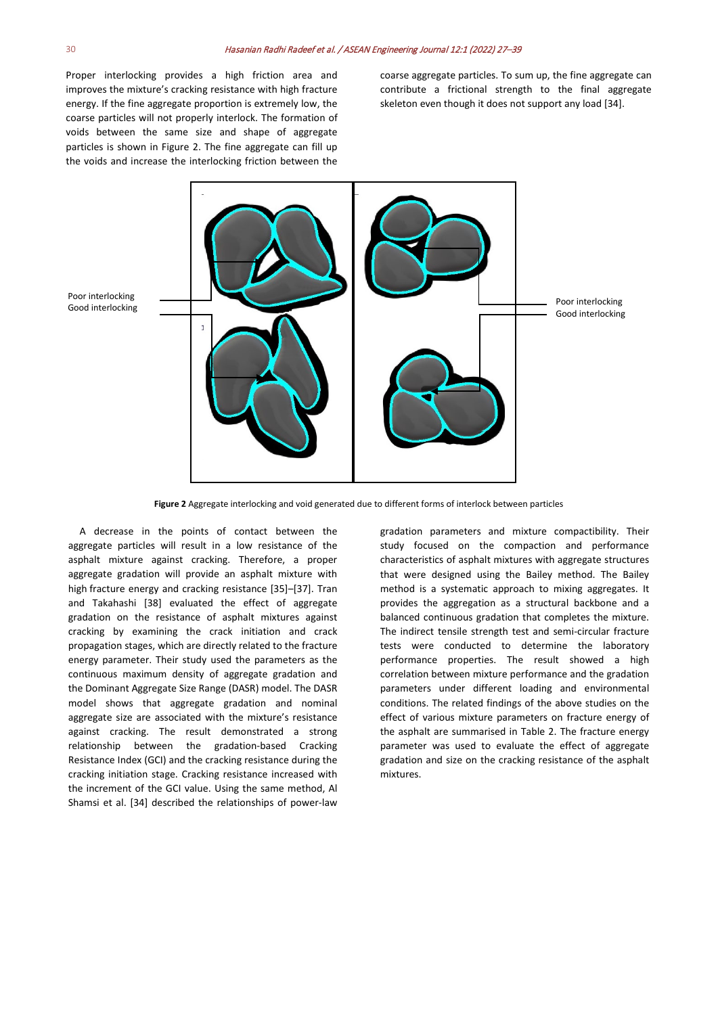Proper interlocking provides a high friction area and improves the mixture's cracking resistance with high fracture energy. If the fine aggregate proportion is extremely low, the coarse particles will not properly interlock. The formation of voids between the same size and shape of aggregate particles is shown in Figure 2. The fine aggregate can fill up the voids and increase the interlocking friction between the coarse aggregate particles. To sum up, the fine aggregate can contribute a frictional strength to the final aggregate skeleton even though it does not support any load [34].



**Figure 2** Aggregate interlocking and void generated due to different forms of interlock between particles

A decrease in the points of contact between the aggregate particles will result in a low resistance of the asphalt mixture against cracking. Therefore, a proper aggregate gradation will provide an asphalt mixture with high fracture energy and cracking resistance [35]–[37]. Tran and Takahashi [38] evaluated the effect of aggregate gradation on the resistance of asphalt mixtures against cracking by examining the crack initiation and crack propagation stages, which are directly related to the fracture energy parameter. Their study used the parameters as the continuous maximum density of aggregate gradation and the Dominant Aggregate Size Range (DASR) model. The DASR model shows that aggregate gradation and nominal aggregate size are associated with the mixture's resistance against cracking. The result demonstrated a strong relationship between the gradation-based Cracking Resistance Index (GCI) and the cracking resistance during the cracking initiation stage. Cracking resistance increased with the increment of the GCI value. Using the same method, Al Shamsi et al. [34] described the relationships of power-law

gradation parameters and mixture compactibility. Their study focused on the compaction and performance characteristics of asphalt mixtures with aggregate structures that were designed using the Bailey method. The Bailey method is a systematic approach to mixing aggregates. It provides the aggregation as a structural backbone and a balanced continuous gradation that completes the mixture. The indirect tensile strength test and semi-circular fracture tests were conducted to determine the laboratory performance properties. The result showed a high correlation between mixture performance and the gradation parameters under different loading and environmental conditions. The related findings of the above studies on the effect of various mixture parameters on fracture energy of the asphalt are summarised in Table 2. The fracture energy parameter was used to evaluate the effect of aggregate gradation and size on the cracking resistance of the asphalt mixtures.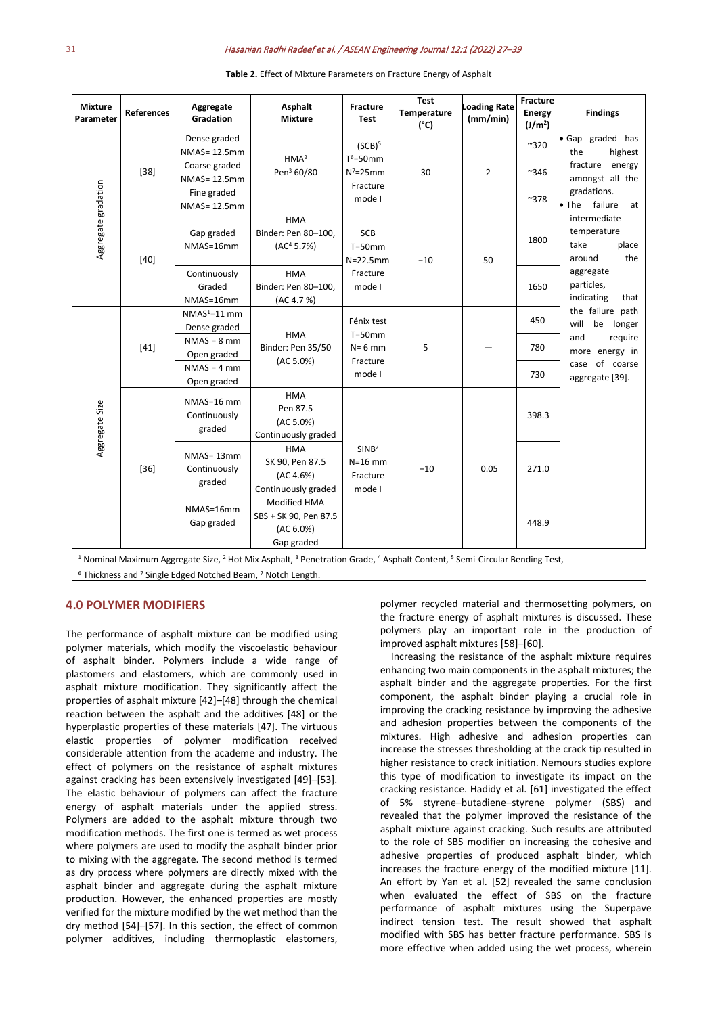#### 31Hasanian Radhi Radeef et al. / ASEAN Engineering Journal 12:1 (2022) 27–39

|        | Gradation                            | <b>Mixture</b>                                                          | Fracture<br><b>Test</b>                                                    | Temperature<br>$(^{\circ}C)$ | <b>Loading Rate</b><br>(mm/min) | <b>Energy</b><br>(J/m <sup>2</sup> ) | <b>Findings</b>                                                                                                                                                                                                                                                                      |
|--------|--------------------------------------|-------------------------------------------------------------------------|----------------------------------------------------------------------------|------------------------------|---------------------------------|--------------------------------------|--------------------------------------------------------------------------------------------------------------------------------------------------------------------------------------------------------------------------------------------------------------------------------------|
| $[38]$ | Dense graded<br>NMAS= 12.5mm         |                                                                         | (SCB) <sup>5</sup><br>$T^6 = 50$ mm<br>$N^7 = 25$ mm<br>Fracture<br>mode I | 30                           | $\overline{2}$                  | ~320                                 | Gap graded has<br>highest<br>the                                                                                                                                                                                                                                                     |
|        | Coarse graded<br>NMAS= 12.5mm        | Pen <sup>3</sup> 60/80                                                  |                                                                            |                              |                                 | ~346                                 | fracture energy<br>amongst all the                                                                                                                                                                                                                                                   |
|        | Fine graded<br>NMAS= 12.5mm          |                                                                         |                                                                            |                              |                                 | $^{\sim}378$                         | gradations.<br>failure<br>$\bullet$ The<br>at<br>intermediate<br>temperature<br>take<br>place<br>the<br>around<br>aggregate<br>particles,<br>indicating<br>that<br>the failure path<br>will<br>be<br>longer<br>and<br>require<br>more energy in<br>case of coarse<br>aggregate [39]. |
| $[40]$ | Gap graded<br>NMAS=16mm              | <b>HMA</b><br>Binder: Pen 80-100,<br>(AC <sup>4</sup> 5.7%)             | <b>SCB</b><br>$T = 50$ mm<br>$N=22.5$ mm<br>Fracture<br>mode I             | $-10$                        | 50                              | 1800                                 |                                                                                                                                                                                                                                                                                      |
|        | Continuously<br>Graded<br>NMAS=16mm  | <b>HMA</b><br>Binder: Pen 80-100,<br>(AC 4.7 %)                         |                                                                            |                              |                                 | 1650                                 |                                                                                                                                                                                                                                                                                      |
| $[41]$ | $NMAS1=11$ mm<br>Dense graded        |                                                                         | Fénix test<br>$T = 50$ mm<br>$N = 6$ mm<br>Fracture<br>mode I              | 5                            |                                 | 450                                  |                                                                                                                                                                                                                                                                                      |
|        | $NMAS = 8$ mm<br>Open graded         | Binder: Pen 35/50                                                       |                                                                            |                              |                                 | 780                                  |                                                                                                                                                                                                                                                                                      |
|        | $NMAS = 4 mm$<br>Open graded         |                                                                         |                                                                            |                              |                                 | 730                                  |                                                                                                                                                                                                                                                                                      |
| $[36]$ | NMAS=16 mm<br>Continuously<br>graded | <b>HMA</b><br>Pen 87.5<br>(AC 5.0%)<br>Continuously graded              | SINB <sup>7</sup><br>$N=16$ mm<br>Fracture<br>mode I                       | $-10$                        | 0.05                            | 398.3                                |                                                                                                                                                                                                                                                                                      |
|        | NMAS=13mm<br>Continuously<br>graded  | <b>HMA</b><br>SK 90, Pen 87.5<br>(AC 4.6%)<br>Continuously graded       |                                                                            |                              |                                 | 271.0                                |                                                                                                                                                                                                                                                                                      |
|        | NMAS=16mm<br>Gap graded              | <b>Modified HMA</b><br>SBS + SK 90, Pen 87.5<br>(AC 6.0%)<br>Gap graded |                                                                            |                              |                                 | 448.9                                |                                                                                                                                                                                                                                                                                      |
|        |                                      |                                                                         | HMA <sup>2</sup><br><b>HMA</b><br>(AC 5.0%)                                |                              |                                 |                                      | <sup>1</sup> Nominal Maximum Aggregate Size, <sup>2</sup> Hot Mix Asphalt, <sup>3</sup> Penetration Grade, <sup>4</sup> Asphalt Content, <sup>5</sup> Semi-Circular Bending Test,                                                                                                    |

**Table 2.** Effect of Mixture Parameters on Fracture Energy of Asphalt

#### **4.0 POLYMER MODIFIERS**

The performance of asphalt mixture can be modified using polymer materials, which modify the viscoelastic behaviour of asphalt binder. Polymers include a wide range of plastomers and elastomers, which are commonly used in asphalt mixture modification. They significantly affect the properties of asphalt mixture [42]–[48] through the chemical reaction between the asphalt and the additives [48] or the hyperplastic properties of these materials [47]. The virtuous elastic properties of polymer modification received considerable attention from the academe and industry. The effect of polymers on the resistance of asphalt mixtures against cracking has been extensively investigated [49]–[53]. The elastic behaviour of polymers can affect the fracture energy of asphalt materials under the applied stress. Polymers are added to the asphalt mixture through two modification methods. The first one is termed as wet process where polymers are used to modify the asphalt binder prior to mixing with the aggregate. The second method is termed as dry process where polymers are directly mixed with the asphalt binder and aggregate during the asphalt mixture production. However, the enhanced properties are mostly verified for the mixture modified by the wet method than the dry method [54]–[57]. In this section, the effect of common polymer additives, including thermoplastic elastomers,

polymer recycled material and thermosetting polymers, on the fracture energy of asphalt mixtures is discussed. These polymers play an important role in the production of improved asphalt mixtures [58]–[60].

Increasing the resistance of the asphalt mixture requires enhancing two main components in the asphalt mixtures; the asphalt binder and the aggregate properties. For the first component, the asphalt binder playing a crucial role in improving the cracking resistance by improving the adhesive and adhesion properties between the components of the mixtures. High adhesive and adhesion properties can increase the stresses thresholding at the crack tip resulted in higher resistance to crack initiation. Nemours studies explore this type of modification to investigate its impact on the cracking resistance. Hadidy et al. [61] investigated the effect of 5% styrene–butadiene–styrene polymer (SBS) and revealed that the polymer improved the resistance of the asphalt mixture against cracking. Such results are attributed to the role of SBS modifier on increasing the cohesive and adhesive properties of produced asphalt binder, which increases the fracture energy of the modified mixture [11]. An effort by Yan et al. [52] revealed the same conclusion when evaluated the effect of SBS on the fracture performance of asphalt mixtures using the Superpave indirect tension test. The result showed that asphalt modified with SBS has better fracture performance. SBS is more effective when added using the wet process, wherein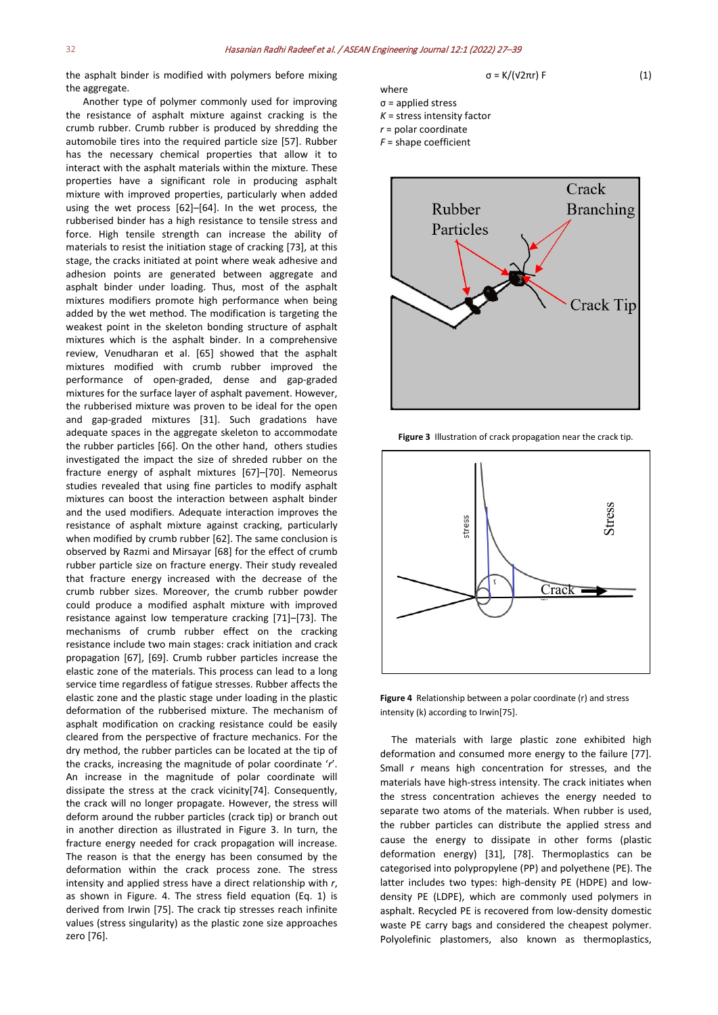the asphalt binder is modified with polymers before mixing the aggregate.

Another type of polymer commonly used for improving the resistance of asphalt mixture against cracking is the crumb rubber. Crumb rubber is produced by shredding the automobile tires into the required particle size [57]. Rubber has the necessary chemical properties that allow it to interact with the asphalt materials within the mixture. These properties have a significant role in producing asphalt mixture with improved properties, particularly when added using the wet process [62]–[64]. In the wet process, the rubberised binder has a high resistance to tensile stress and force. High tensile strength can increase the ability of materials to resist the initiation stage of cracking [73], at this stage, the cracks initiated at point where weak adhesive and adhesion points are generated between aggregate and asphalt binder under loading. Thus, most of the asphalt mixtures modifiers promote high performance when being added by the wet method. The modification is targeting the weakest point in the skeleton bonding structure of asphalt mixtures which is the asphalt binder. In a comprehensive review, Venudharan et al. [65] showed that the asphalt mixtures modified with crumb rubber improved the performance of open-graded, dense and gap-graded mixtures for the surface layer of asphalt pavement. However, the rubberised mixture was proven to be ideal for the open and gap-graded mixtures [31]. Such gradations have adequate spaces in the aggregate skeleton to accommodate the rubber particles [66]. On the other hand, others studies investigated the impact the size of shreded rubber on the fracture energy of asphalt mixtures [67]–[70]. Nemeorus studies revealed that using fine particles to modify asphalt mixtures can boost the interaction between asphalt binder and the used modifiers. Adequate interaction improves the resistance of asphalt mixture against cracking, particularly when modified by crumb rubber [62]. The same conclusion is observed by Razmi and Mirsayar [68] for the effect of crumb rubber particle size on fracture energy. Their study revealed that fracture energy increased with the decrease of the crumb rubber sizes. Moreover, the crumb rubber powder could produce a modified asphalt mixture with improved resistance against low temperature cracking [71]–[73]. The mechanisms of crumb rubber effect on the cracking resistance include two main stages: crack initiation and crack propagation [67], [69]. Crumb rubber particles increase the elastic zone of the materials. This process can lead to a long service time regardless of fatigue stresses. Rubber affects the elastic zone and the plastic stage under loading in the plastic deformation of the rubberised mixture. The mechanism of asphalt modification on cracking resistance could be easily cleared from the perspective of fracture mechanics. For the dry method, the rubber particles can be located at the tip of the cracks, increasing the magnitude of polar coordinate '*r*'. An increase in the magnitude of polar coordinate will dissipate the stress at the crack vicinity[74]. Consequently, the crack will no longer propagate. However, the stress will deform around the rubber particles (crack tip) or branch out in another direction as illustrated in Figure 3. In turn, the fracture energy needed for crack propagation will increase. The reason is that the energy has been consumed by the deformation within the crack process zone. The stress intensity and applied stress have a direct relationship with *r*, as shown in Figure. 4. The stress field equation (Eq. 1) is derived from Irwin [75]. The crack tip stresses reach infinite values (stress singularity) as the plastic zone size approaches zero [76].



*F* = shape coefficient



**Figure 3** Illustration of crack propagation near the crack tip.



**Figure 4** Relationship between a polar coordinate (r) and stress intensity (k) according to Irwin[75].

The materials with large plastic zone exhibited high deformation and consumed more energy to the failure [77]. Small *r* means high concentration for stresses, and the materials have high-stress intensity. The crack initiates when the stress concentration achieves the energy needed to separate two atoms of the materials. When rubber is used, the rubber particles can distribute the applied stress and cause the energy to dissipate in other forms (plastic deformation energy) [31], [78]. Thermoplastics can be categorised into polypropylene (PP) and polyethene (PE). The latter includes two types: high-density PE (HDPE) and lowdensity PE (LDPE), which are commonly used polymers in asphalt. Recycled PE is recovered from low-density domestic waste PE carry bags and considered the cheapest polymer. Polyolefinic plastomers, also known as thermoplastics,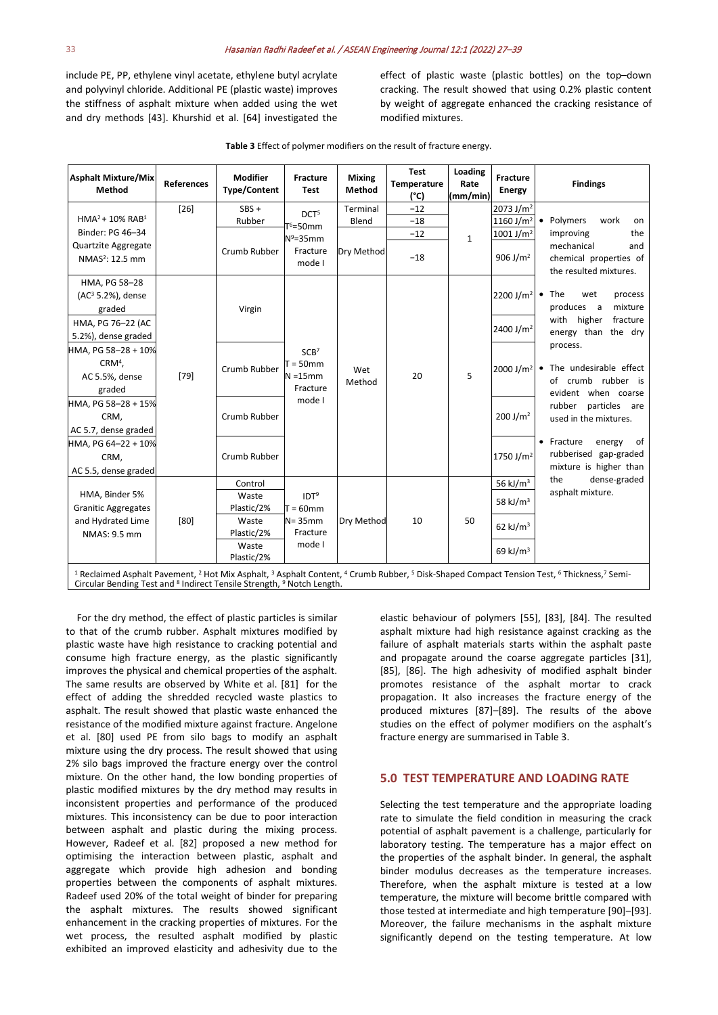include PE, PP, ethylene vinyl acetate, ethylene butyl acrylate and polyvinyl chloride. Additional PE (plastic waste) improves the stiffness of asphalt mixture when added using the wet and dry methods [43]. Khurshid et al. [64] investigated the

effect of plastic waste (plastic bottles) on the top–down cracking. The result showed that using 0.2% plastic content by weight of aggregate enhanced the cracking resistance of modified mixtures.

| <b>Asphalt Mixture/Mix</b><br>Method                                                                                                                                                                                                                                                                                      | <b>References</b> | <b>Modifier</b><br><b>Type/Content</b> | Fracture<br><b>Test</b>                                              | <b>Mixing</b><br>Method | <b>Test</b><br><b>Temperature</b><br>(°C) | Loading<br>Rate<br>(mm/min) | Fracture<br><b>Energy</b>                     | <b>Findings</b>                                                                                                                          |
|---------------------------------------------------------------------------------------------------------------------------------------------------------------------------------------------------------------------------------------------------------------------------------------------------------------------------|-------------------|----------------------------------------|----------------------------------------------------------------------|-------------------------|-------------------------------------------|-----------------------------|-----------------------------------------------|------------------------------------------------------------------------------------------------------------------------------------------|
| $HMA2 + 10% RAB1$                                                                                                                                                                                                                                                                                                         | $[26]$            | $SBS +$<br>Rubber                      | DCT <sup>5</sup><br>$T^6$ =50mm                                      | Terminal<br>Blend       | $-12$<br>$-18$                            |                             | $2073$ J/m <sup>2</sup><br>1160 J/ $m2$       | • Polymers<br>work<br>on                                                                                                                 |
| Binder: PG 46-34<br>Quartzite Aggregate<br>NMAS <sup>2</sup> : 12.5 mm                                                                                                                                                                                                                                                    |                   | Crumb Rubber                           | $N^9 = 35$ mm<br>Fracture<br>mode I                                  | Dry Method              | $-12$<br>$-18$                            | $\mathbf{1}$                | 1001 J/m <sup>2</sup><br>906 J/m <sup>2</sup> | the<br>improving<br>mechanical<br>and<br>chemical properties of<br>the resulted mixtures.                                                |
| HMA, PG 58-28<br>$(AC3 5.2%)$ , dense<br>graded                                                                                                                                                                                                                                                                           |                   | Virgin                                 |                                                                      |                         |                                           |                             | 2200 J/m <sup>2</sup> • The                   | wet<br>process<br>mixture<br>produces a                                                                                                  |
| HMA, PG 76-22 (AC<br>5.2%), dense graded                                                                                                                                                                                                                                                                                  | $[79]$            |                                        | SCB <sup>7</sup><br>$T = 50$ mm<br>$N = 15$ mm<br>Fracture<br>mode I | Wet<br>Method           | 20                                        | 5                           | 2400 J/m <sup>2</sup>                         | with higher<br>fracture<br>energy than the dry                                                                                           |
| HMA, PG 58-28 + 10%<br>$CRM4$ ,<br>AC 5.5%, dense<br>graded                                                                                                                                                                                                                                                               |                   | Crumb Rubber                           |                                                                      |                         |                                           |                             | 2000 J/m <sup>2</sup>                         | process.<br>• The undesirable effect<br>of crumb rubber is<br>evident when coarse<br>particles<br>rubber<br>are<br>used in the mixtures. |
| HMA, PG 58-28 + 15%<br>CRM,<br>AC 5.7, dense graded                                                                                                                                                                                                                                                                       |                   | Crumb Rubber                           |                                                                      |                         |                                           |                             | 200 J/m <sup>2</sup>                          |                                                                                                                                          |
| HMA, PG 64-22 + 10%<br>CRM,<br>AC 5.5, dense graded                                                                                                                                                                                                                                                                       |                   | Crumb Rubber                           |                                                                      |                         |                                           |                             | 1750 J/m <sup>2</sup>                         | of<br>• Fracture<br>energy<br>rubberised gap-graded<br>mixture is higher than                                                            |
|                                                                                                                                                                                                                                                                                                                           |                   | Control                                |                                                                      |                         |                                           |                             | 56 kJ/ $m3$                                   | dense-graded<br>the                                                                                                                      |
| HMA, Binder 5%<br><b>Granitic Aggregates</b>                                                                                                                                                                                                                                                                              | [80]              | Waste<br>Plastic/2%                    | IDT <sup>9</sup><br>$T = 60$ mm<br>$N = 35$ mm<br>Fracture           | Dry Method              | 10                                        | 50                          | 58 kJ/ $m3$                                   | asphalt mixture.                                                                                                                         |
| and Hydrated Lime<br>NMAS: 9.5 mm                                                                                                                                                                                                                                                                                         |                   | Waste<br>Plastic/2%                    |                                                                      |                         |                                           |                             | 62 kJ/ $m3$                                   |                                                                                                                                          |
|                                                                                                                                                                                                                                                                                                                           |                   | Waste<br>Plastic/2%                    | mode I                                                               |                         |                                           |                             | 69 kJ/ $m3$                                   |                                                                                                                                          |
| <sup>1</sup> Reclaimed Asphalt Pavement, <sup>2</sup> Hot Mix Asphalt, <sup>3</sup> Asphalt Content, <sup>4</sup> Crumb Rubber, <sup>5</sup> Disk-Shaped Compact Tension Test, <sup>6</sup> Thickness, <sup>7</sup> Semi-<br>Circular Bending Test and <sup>8</sup> Indirect Tensile Strength, <sup>9</sup> Notch Length. |                   |                                        |                                                                      |                         |                                           |                             |                                               |                                                                                                                                          |

For the dry method, the effect of plastic particles is similar to that of the crumb rubber. Asphalt mixtures modified by plastic waste have high resistance to cracking potential and consume high fracture energy, as the plastic significantly improves the physical and chemical properties of the asphalt. The same results are observed by White et al. [81] for the effect of adding the shredded recycled waste plastics to asphalt. The result showed that plastic waste enhanced the resistance of the modified mixture against fracture. Angelone et al. [80] used PE from silo bags to modify an asphalt mixture using the dry process. The result showed that using 2% silo bags improved the fracture energy over the control mixture. On the other hand, the low bonding properties of plastic modified mixtures by the dry method may results in inconsistent properties and performance of the produced mixtures. This inconsistency can be due to poor interaction between asphalt and plastic during the mixing process. However, Radeef et al. [82] proposed a new method for optimising the interaction between plastic, asphalt and aggregate which provide high adhesion and bonding properties between the components of asphalt mixtures. Radeef used 20% of the total weight of binder for preparing the asphalt mixtures. The results showed significant enhancement in the cracking properties of mixtures. For the wet process, the resulted asphalt modified by plastic exhibited an improved elasticity and adhesivity due to the

elastic behaviour of polymers [55], [83], [84]. The resulted asphalt mixture had high resistance against cracking as the failure of asphalt materials starts within the asphalt paste and propagate around the coarse aggregate particles [31], [85], [86]. The high adhesivity of modified asphalt binder promotes resistance of the asphalt mortar to crack propagation. It also increases the fracture energy of the produced mixtures [87]–[89]. The results of the above studies on the effect of polymer modifiers on the asphalt's fracture energy are summarised in Table 3.

#### **5.0 TEST TEMPERATURE AND LOADING RATE**

Selecting the test temperature and the appropriate loading rate to simulate the field condition in measuring the crack potential of asphalt pavement is a challenge, particularly for laboratory testing. The temperature has a major effect on the properties of the asphalt binder. In general, the asphalt binder modulus decreases as the temperature increases. Therefore, when the asphalt mixture is tested at a low temperature, the mixture will become brittle compared with those tested at intermediate and high temperature [90]–[93]. Moreover, the failure mechanisms in the asphalt mixture significantly depend on the testing temperature. At low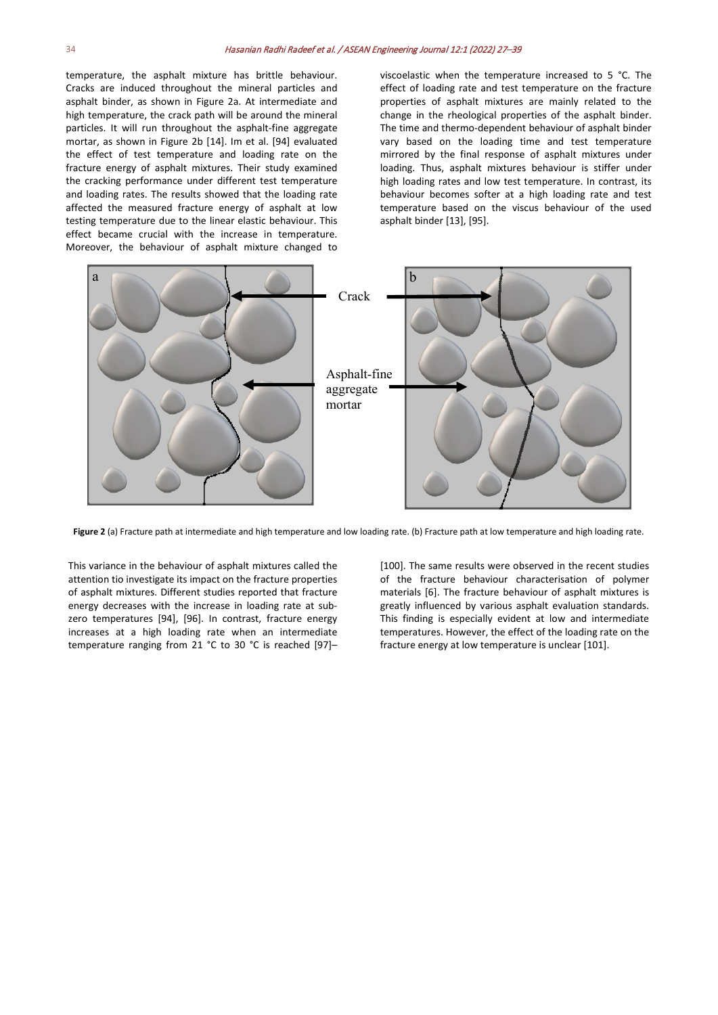temperature, the asphalt mixture has brittle behaviour. Cracks are induced throughout the mineral particles and asphalt binder, as shown in Figure 2a. At intermediate and high temperature, the crack path will be around the mineral particles. It will run throughout the asphalt-fine aggregate mortar, as shown in Figure 2b [14]. Im et al. [94] evaluated the effect of test temperature and loading rate on the fracture energy of asphalt mixtures. Their study examined the cracking performance under different test temperature and loading rates. The results showed that the loading rate affected the measured fracture energy of asphalt at low testing temperature due to the linear elastic behaviour. This effect became crucial with the increase in temperature. Moreover, the behaviour of asphalt mixture changed to

viscoelastic when the temperature increased to 5 °C. The effect of loading rate and test temperature on the fracture properties of asphalt mixtures are mainly related to the change in the rheological properties of the asphalt binder. The time and thermo-dependent behaviour of asphalt binder vary based on the loading time and test temperature mirrored by the final response of asphalt mixtures under loading. Thus, asphalt mixtures behaviour is stiffer under high loading rates and low test temperature. In contrast, its behaviour becomes softer at a high loading rate and test temperature based on the viscus behaviour of the used asphalt binder [13], [95].



**Figure 2** (a) Fracture path at intermediate and high temperature and low loading rate. (b) Fracture path at low temperature and high loading rate.

This variance in the behaviour of asphalt mixtures called the attention tio investigate its impact on the fracture properties of asphalt mixtures. Different studies reported that fracture energy decreases with the increase in loading rate at subzero temperatures [94], [96]. In contrast, fracture energy increases at a high loading rate when an intermediate temperature ranging from 21 °C to 30 °C is reached [97]–

[100]. The same results were observed in the recent studies of the fracture behaviour characterisation of polymer materials [6]. The fracture behaviour of asphalt mixtures is greatly influenced by various asphalt evaluation standards. This finding is especially evident at low and intermediate temperatures. However, the effect of the loading rate on the fracture energy at low temperature is unclear [101].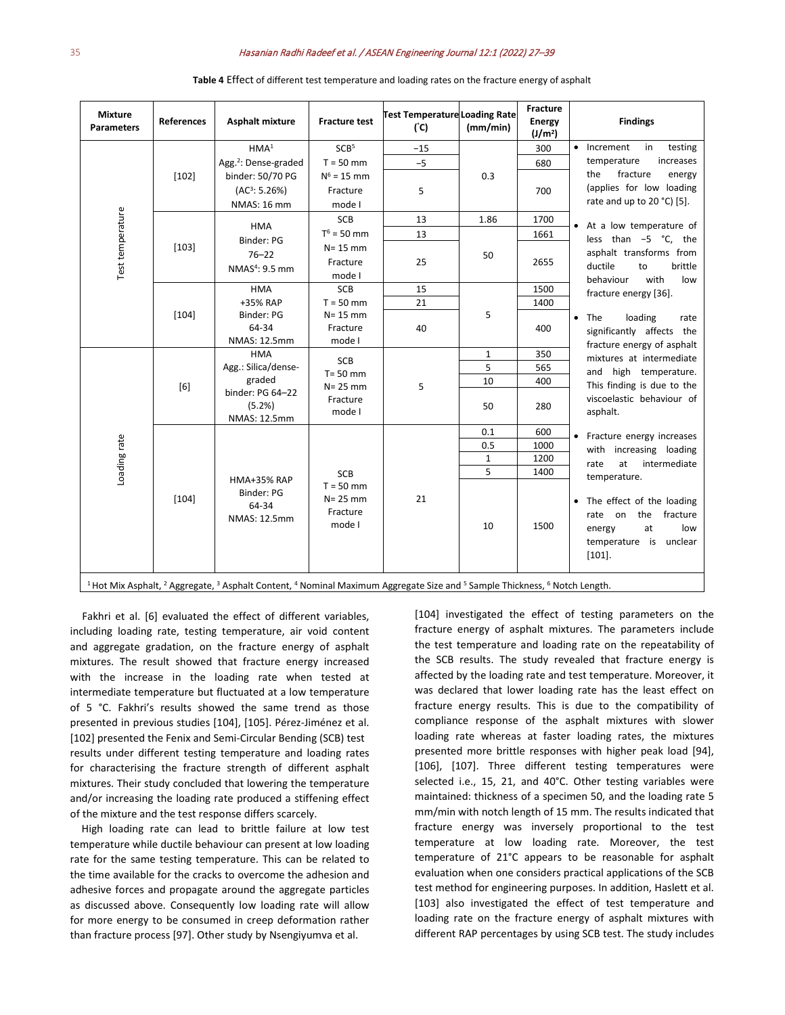#### 35Hasanian Radhi Radeef et al. / ASEAN Engineering Journal 12:1 (2022) 27–39

| <b>Mixture</b><br><b>Parameters</b>                                                                                                                                                           | <b>References</b> | <b>Asphalt mixture</b>                                      | <b>Fracture test</b>                                    | <b>Test Temperature Loading Rate</b><br>$(^{\circ}C)$ | (mm/min)     | Fracture<br><b>Energy</b><br>(J/m <sup>2</sup> ) | <b>Findings</b>                                                                                                         |  |  |
|-----------------------------------------------------------------------------------------------------------------------------------------------------------------------------------------------|-------------------|-------------------------------------------------------------|---------------------------------------------------------|-------------------------------------------------------|--------------|--------------------------------------------------|-------------------------------------------------------------------------------------------------------------------------|--|--|
|                                                                                                                                                                                               | $[102]$           | HMA <sup>1</sup>                                            | SCB <sup>5</sup>                                        | $-15$                                                 |              | 300                                              | Increment<br>in<br>testing                                                                                              |  |  |
|                                                                                                                                                                                               |                   | Agg. <sup>2</sup> : Dense-graded                            | $T = 50$ mm                                             | $-5$                                                  | 0.3          | 680                                              | temperature<br>increases                                                                                                |  |  |
|                                                                                                                                                                                               |                   | binder: 50/70 PG                                            | $N^6 = 15$ mm                                           |                                                       |              | 700                                              | fracture<br>the<br>energy<br>(applies for low loading                                                                   |  |  |
|                                                                                                                                                                                               |                   | (AC <sup>3</sup> : 5.26%)                                   | Fracture                                                | 5                                                     |              |                                                  |                                                                                                                         |  |  |
|                                                                                                                                                                                               |                   | <b>NMAS: 16 mm</b>                                          | mode I                                                  |                                                       |              |                                                  | rate and up to 20 °C) [5].                                                                                              |  |  |
| Test temperature                                                                                                                                                                              | $[103]$           | <b>HMA</b>                                                  | <b>SCB</b>                                              | 13                                                    | 1.86         | 1700                                             | At a low temperature of                                                                                                 |  |  |
|                                                                                                                                                                                               |                   | Binder: PG<br>$76 - 22$<br>NMAS <sup>4</sup> : 9.5 mm       | $T^6$ = 50 mm                                           | 13                                                    | 50           | 1661                                             | less than -5 °C, the                                                                                                    |  |  |
|                                                                                                                                                                                               |                   |                                                             | $N = 15$ mm                                             |                                                       |              | 2655                                             | asphalt transforms from<br>ductile<br>to<br>brittle                                                                     |  |  |
|                                                                                                                                                                                               |                   |                                                             | Fracture                                                | 25                                                    |              |                                                  |                                                                                                                         |  |  |
|                                                                                                                                                                                               |                   |                                                             | mode I                                                  |                                                       |              |                                                  | with<br>behaviour<br>low                                                                                                |  |  |
|                                                                                                                                                                                               | $[104]$           | <b>HMA</b>                                                  | SCB                                                     | 15                                                    |              | 1500                                             | fracture energy [36].                                                                                                   |  |  |
|                                                                                                                                                                                               |                   | +35% RAP                                                    | $T = 50$ mm                                             | 21                                                    |              | 1400                                             |                                                                                                                         |  |  |
|                                                                                                                                                                                               |                   | Binder: PG<br>64-34                                         | $N = 15$ mm<br>Fracture<br>mode I                       | 40                                                    | 5            | 400                                              | The<br>loading<br>$\bullet$<br>rate<br>significantly affects the                                                        |  |  |
|                                                                                                                                                                                               |                   | NMAS: 12.5mm                                                |                                                         |                                                       |              |                                                  |                                                                                                                         |  |  |
|                                                                                                                                                                                               | [6]               | <b>HMA</b>                                                  | SCB<br>$T = 50$ mm<br>$N = 25$ mm<br>Fracture<br>mode I | 5                                                     | $\mathbf{1}$ | 350                                              | fracture energy of asphalt                                                                                              |  |  |
|                                                                                                                                                                                               |                   | Agg.: Silica/dense-                                         |                                                         |                                                       | 5            | 565                                              | mixtures at intermediate                                                                                                |  |  |
|                                                                                                                                                                                               |                   | graded<br>binder: PG 64-22<br>(5.2%)<br><b>NMAS: 12.5mm</b> |                                                         |                                                       | 10           | 400                                              | and high temperature.<br>This finding is due to the                                                                     |  |  |
|                                                                                                                                                                                               |                   |                                                             |                                                         |                                                       | 50           | 280                                              | viscoelastic behaviour of<br>asphalt.                                                                                   |  |  |
|                                                                                                                                                                                               | $[104]$           | <b>HMA+35% RAP</b>                                          |                                                         | 21                                                    | 0.1          | 600                                              | Fracture energy increases                                                                                               |  |  |
|                                                                                                                                                                                               |                   |                                                             |                                                         |                                                       | 0.5          | 1000                                             | with increasing loading                                                                                                 |  |  |
|                                                                                                                                                                                               |                   |                                                             |                                                         |                                                       | $\mathbf{1}$ | 1200                                             | at<br>intermediate<br>rate                                                                                              |  |  |
| Loading rate                                                                                                                                                                                  |                   |                                                             | <b>SCB</b>                                              |                                                       | 5            | 1400                                             | temperature.                                                                                                            |  |  |
|                                                                                                                                                                                               |                   | Binder: PG<br>64-34<br>NMAS: 12.5mm                         | $T = 50$ mm<br>$N = 25$ mm<br>Fracture<br>mode I        |                                                       | 10           | 1500                                             | • The effect of the loading<br>fracture<br>the<br>rate on<br>low<br>at<br>energy<br>temperature is unclear<br>$[101]$ . |  |  |
| <sup>1</sup> Hot Mix Asphalt, <sup>2</sup> Aggregate, <sup>3</sup> Asphalt Content, <sup>4</sup> Nominal Maximum Aggregate Size and <sup>5</sup> Sample Thickness, <sup>6</sup> Notch Length. |                   |                                                             |                                                         |                                                       |              |                                                  |                                                                                                                         |  |  |

**Table 4** Effect of different test temperature and loading rates on the fracture energy of asphalt

Fakhri et al. [6] evaluated the effect of different variables, including loading rate, testing temperature, air void content and aggregate gradation, on the fracture energy of asphalt mixtures. The result showed that fracture energy increased with the increase in the loading rate when tested at intermediate temperature but fluctuated at a low temperature of 5 °C. Fakhri's results showed the same trend as those presented in previous studies [104], [105]. Pérez-Jiménez et al. [102] presented the Fenix and Semi-Circular Bending (SCB) test results under different testing temperature and loading rates for characterising the fracture strength of different asphalt mixtures. Their study concluded that lowering the temperature and/or increasing the loading rate produced a stiffening effect of the mixture and the test response differs scarcely.

High loading rate can lead to brittle failure at low test temperature while ductile behaviour can present at low loading rate for the same testing temperature. This can be related to the time available for the cracks to overcome the adhesion and adhesive forces and propagate around the aggregate particles as discussed above. Consequently low loading rate will allow for more energy to be consumed in creep deformation rather than fracture process [97]. Other study by Nsengiyumva et al.

[104] investigated the effect of testing parameters on the fracture energy of asphalt mixtures. The parameters include the test temperature and loading rate on the repeatability of the SCB results. The study revealed that fracture energy is affected by the loading rate and test temperature. Moreover, it was declared that lower loading rate has the least effect on fracture energy results. This is due to the compatibility of compliance response of the asphalt mixtures with slower loading rate whereas at faster loading rates, the mixtures presented more brittle responses with higher peak load [94], [106], [107]. Three different testing temperatures were selected i.e., 15, 21, and 40°C. Other testing variables were maintained: thickness of a specimen 50, and the loading rate 5 mm/min with notch length of 15 mm. The results indicated that fracture energy was inversely proportional to the test temperature at low loading rate. Moreover, the test temperature of 21°C appears to be reasonable for asphalt evaluation when one considers practical applications of the SCB test method for engineering purposes. In addition, Haslett et al. [103] also investigated the effect of test temperature and loading rate on the fracture energy of asphalt mixtures with different RAP percentages by using SCB test. The study includes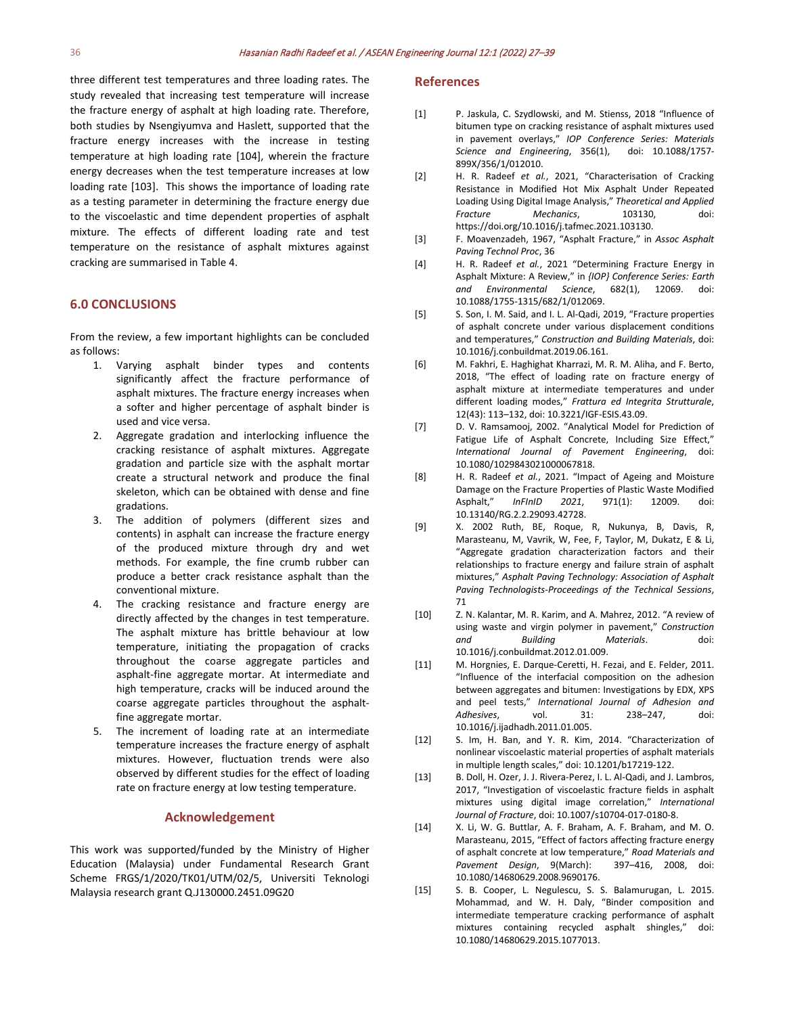three different test temperatures and three loading rates. The study revealed that increasing test temperature will increase the fracture energy of asphalt at high loading rate. Therefore, both studies by Nsengiyumva and Haslett, supported that the fracture energy increases with the increase in testing temperature at high loading rate [104], wherein the fracture energy decreases when the test temperature increases at low loading rate [103]. This shows the importance of loading rate as a testing parameter in determining the fracture energy due to the viscoelastic and time dependent properties of asphalt mixture. The effects of different loading rate and test temperature on the resistance of asphalt mixtures against cracking are summarised in Table 4.

### **6.0 CONCLUSIONS**

From the review, a few important highlights can be concluded as follows:

- 1. Varying asphalt binder types and contents significantly affect the fracture performance of asphalt mixtures. The fracture energy increases when a softer and higher percentage of asphalt binder is used and vice versa.
- 2. Aggregate gradation and interlocking influence the cracking resistance of asphalt mixtures. Aggregate gradation and particle size with the asphalt mortar create a structural network and produce the final skeleton, which can be obtained with dense and fine gradations.
- 3. The addition of polymers (different sizes and contents) in asphalt can increase the fracture energy of the produced mixture through dry and wet methods. For example, the fine crumb rubber can produce a better crack resistance asphalt than the conventional mixture.
- 4. The cracking resistance and fracture energy are directly affected by the changes in test temperature. The asphalt mixture has brittle behaviour at low temperature, initiating the propagation of cracks throughout the coarse aggregate particles and asphalt-fine aggregate mortar. At intermediate and high temperature, cracks will be induced around the coarse aggregate particles throughout the asphaltfine aggregate mortar.
- 5. The increment of loading rate at an intermediate temperature increases the fracture energy of asphalt mixtures. However, fluctuation trends were also observed by different studies for the effect of loading rate on fracture energy at low testing temperature.

#### **Acknowledgement**

This work was supported/funded by the Ministry of Higher Education (Malaysia) under Fundamental Research Grant Scheme FRGS/1/2020/TK01/UTM/02/5, Universiti Teknologi Malaysia research grant Q.J130000.2451.09G20

#### **References**

- [1] P. Jaskula, C. Szydlowski, and M. Stienss, 2018 "Influence of bitumen type on cracking resistance of asphalt mixtures used in pavement overlays," *IOP Conference Series: Materials Science and Engineering*, 356(1), doi: 10.1088/1757- 899X/356/1/012010.
- [2] H. R. Radeef *et al.*, 2021, "Characterisation of Cracking Resistance in Modified Hot Mix Asphalt Under Repeated Loading Using Digital Image Analysis," *Theoretical and Applied Fracture Mechanics*, 103130, doi: https://doi.org/10.1016/j.tafmec.2021.103130.
- [3] F. Moavenzadeh, 1967, "Asphalt Fracture," in *Assoc Asphalt Paving Technol Proc*, 36
- [4] H. R. Radeef *et al.*, 2021 "Determining Fracture Energy in Asphalt Mixture: A Review," in *{IOP} Conference Series: Earth and Environmental Science*, 682(1), 12069. doi: 10.1088/1755-1315/682/1/012069.
- [5] S. Son, I. M. Said, and I. L. Al-Qadi, 2019, "Fracture properties of asphalt concrete under various displacement conditions and temperatures," *Construction and Building Materials*, doi: 10.1016/j.conbuildmat.2019.06.161.
- [6] M. Fakhri, E. Haghighat Kharrazi, M. R. M. Aliha, and F. Berto, 2018, "The effect of loading rate on fracture energy of asphalt mixture at intermediate temperatures and under different loading modes," *Frattura ed Integrita Strutturale*, 12(43): 113–132, doi: 10.3221/IGF-ESIS.43.09.
- [7] D. V. Ramsamooj, 2002. "Analytical Model for Prediction of Fatigue Life of Asphalt Concrete, Including Size Effect," *International Journal of Pavement Engineering*, doi: 10.1080/1029843021000067818.
- [8] H. R. Radeef *et al.*, 2021. "Impact of Ageing and Moisture Damage on the Fracture Properties of Plastic Waste Modified Asphalt," *InFInID 2021*, 971(1): 12009. doi: 10.13140/RG.2.2.29093.42728.
- [9] X. 2002 Ruth, BE, Roque, R, Nukunya, B, Davis, R, Marasteanu, M, Vavrik, W, Fee, F, Taylor, M, Dukatz, E & Li, "Aggregate gradation characterization factors and their relationships to fracture energy and failure strain of asphalt mixtures," *Asphalt Paving Technology: Association of Asphalt Paving Technologists-Proceedings of the Technical Sessions*, 71
- [10] Z. N. Kalantar, M. R. Karim, and A. Mahrez, 2012. "A review of using waste and virgin polymer in pavement," *Construction and Building Materials*. doi: 10.1016/j.conbuildmat.2012.01.009.
- [11] M. Horgnies, E. Darque-Ceretti, H. Fezai, and E. Felder, 2011. "Influence of the interfacial composition on the adhesion between aggregates and bitumen: Investigations by EDX, XPS and peel tests," *International Journal of Adhesion and Adhesives*, vol. 31: 238–247, doi: 10.1016/j.ijadhadh.2011.01.005.
- [12] S. Im, H. Ban, and Y. R. Kim, 2014. "Characterization of nonlinear viscoelastic material properties of asphalt materials in multiple length scales," doi: 10.1201/b17219-122.
- [13] B. Doll, H. Ozer, J. J. Rivera-Perez, I. L. Al-Qadi, and J. Lambros, 2017, "Investigation of viscoelastic fracture fields in asphalt mixtures using digital image correlation," *International Journal of Fracture*, doi: 10.1007/s10704-017-0180-8.
- [14] X. Li, W. G. Buttlar, A. F. Braham, A. F. Braham, and M. O. Marasteanu, 2015, "Effect of factors affecting fracture energy of asphalt concrete at low temperature," *Road Materials and Pavement Design, 9(March):* 10.1080/14680629.2008.9690176.
- [15] S. B. Cooper, L. Negulescu, S. S. Balamurugan, L. 2015. Mohammad, and W. H. Daly, "Binder composition and intermediate temperature cracking performance of asphalt mixtures containing recycled asphalt shingles," doi: 10.1080/14680629.2015.1077013.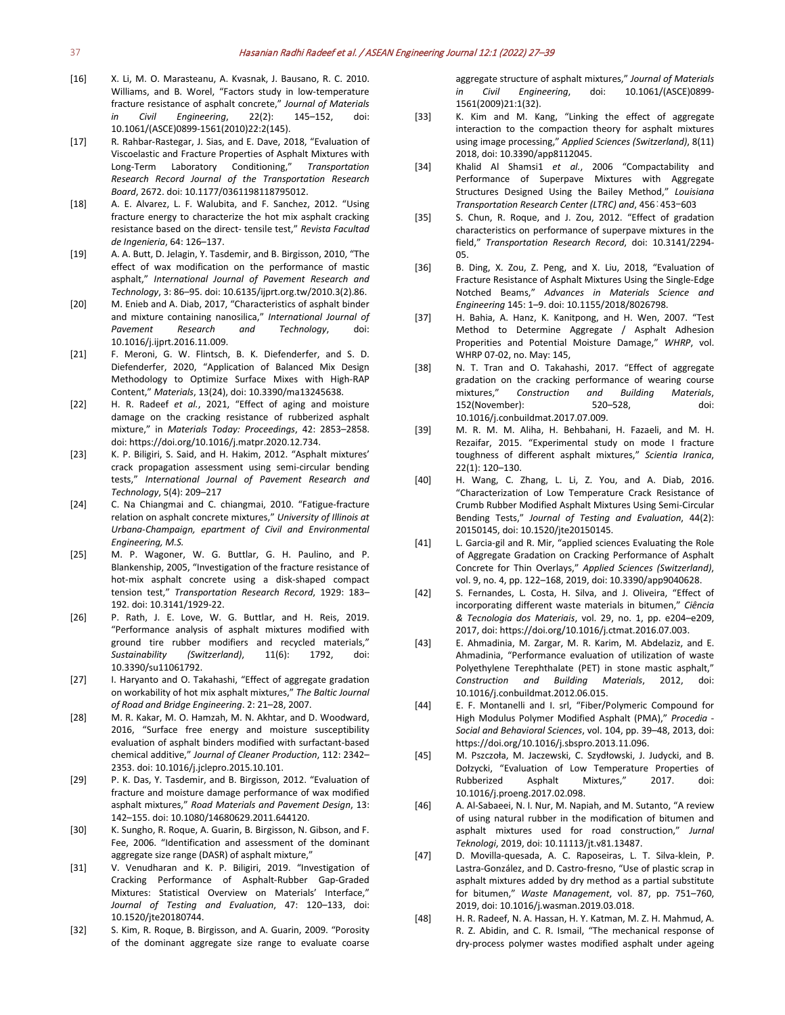- [16] X. Li, M. O. Marasteanu, A. Kvasnak, J. Bausano, R. C. 2010. Williams, and B. Worel, "Factors study in low-temperature fracture resistance of asphalt concrete," *Journal of Materials in Civil Engineering*, 22(2): 145–152, doi: 10.1061/(ASCE)0899-1561(2010)22:2(145).
- [17] R. Rahbar-Rastegar, J. Sias, and E. Dave, 2018, "Evaluation of Viscoelastic and Fracture Properties of Asphalt Mixtures with Long-Term Laboratory Conditioning," *Transportation Research Record Journal of the Transportation Research Board*, 2672. doi: 10.1177/0361198118795012.
- [18] A. E. Alvarez, L. F. Walubita, and F. Sanchez, 2012. "Using fracture energy to characterize the hot mix asphalt cracking resistance based on the direct- tensile test," *Revista Facultad de Ingenieria*, 64: 126–137.
- [19] A. A. Butt, D. Jelagin, Y. Tasdemir, and B. Birgisson, 2010, "The effect of wax modification on the performance of mastic asphalt," *International Journal of Pavement Research and Technology*, 3: 86–95. doi: 10.6135/ijprt.org.tw/2010.3(2).86.
- [20] M. Enieb and A. Diab, 2017, "Characteristics of asphalt binder and mixture containing nanosilica," *International Journal of Pavement Research and Technology*, doi: 10.1016/j.ijprt.2016.11.009.
- [21] F. Meroni, G. W. Flintsch, B. K. Diefenderfer, and S. D. Diefenderfer, 2020, "Application of Balanced Mix Design Methodology to Optimize Surface Mixes with High-RAP Content," *Materials*, 13(24), doi: 10.3390/ma13245638.
- [22] H. R. Radeef *et al.*, 2021, "Effect of aging and moisture damage on the cracking resistance of rubberized asphalt mixture," in *Materials Today: Proceedings*, 42: 2853–2858. doi: https://doi.org/10.1016/j.matpr.2020.12.734.
- [23] K. P. Biligiri, S. Said, and H. Hakim, 2012. "Asphalt mixtures" crack propagation assessment using semi-circular bending tests," *International Journal of Pavement Research and Technology*, 5(4): 209–217
- [24] C. Na Chiangmai and C. chiangmai, 2010. "Fatigue-fracture relation on asphalt concrete mixtures," *University of Illinois at Urbana-Champaign, epartment of Civil and Environmental Engineering, M.S.*
- [25] M. P. Wagoner, W. G. Buttlar, G. H. Paulino, and P. Blankenship, 2005, "Investigation of the fracture resistance of hot-mix asphalt concrete using a disk-shaped compact tension test," *Transportation Research Record*, 1929: 183– 192. doi: 10.3141/1929-22.
- [26] P. Rath, J. E. Love, W. G. Buttlar, and H. Reis, 2019. "Performance analysis of asphalt mixtures modified with ground tire rubber modifiers and recycled materials," *Sustainability (Switzerland)*, 11(6): 1792, doi: 10.3390/su11061792.
- [27] I. Haryanto and O. Takahashi, "Effect of aggregate gradation on workability of hot mix asphalt mixtures," *The Baltic Journal of Road and Bridge Engineering*. 2: 21–28, 2007.
- [28] M. R. Kakar, M. O. Hamzah, M. N. Akhtar, and D. Woodward, 2016, "Surface free energy and moisture susceptibility evaluation of asphalt binders modified with surfactant-based chemical additive," *Journal of Cleaner Production*, 112: 2342– 2353. doi: 10.1016/j.jclepro.2015.10.101.
- [29] P. K. Das, Y. Tasdemir, and B. Birgisson, 2012. "Evaluation of fracture and moisture damage performance of wax modified asphalt mixtures," *Road Materials and Pavement Design*, 13: 142–155. doi: 10.1080/14680629.2011.644120.
- [30] K. Sungho, R. Roque, A. Guarin, B. Birgisson, N. Gibson, and F. Fee, 2006. "Identification and assessment of the dominant aggregate size range (DASR) of asphalt mixture,"
- [31] V. Venudharan and K. P. Biligiri, 2019. "Investigation of Cracking Performance of Asphalt-Rubber Gap-Graded Mixtures: Statistical Overview on Materials' Interface," *Journal of Testing and Evaluation*, 47: 120–133, doi: 10.1520/jte20180744.
- [32] S. Kim, R. Roque, B. Birgisson, and A. Guarin, 2009. "Porosity of the dominant aggregate size range to evaluate coarse

aggregate structure of asphalt mixtures," *Journal of Materials in Civil Engineering*, doi: 10.1061/(ASCE)0899- 1561(2009)21:1(32).

- [33] K. Kim and M. Kang, "Linking the effect of aggregate interaction to the compaction theory for asphalt mixtures using image processing," *Applied Sciences (Switzerland)*, 8(11) 2018, doi: 10.3390/app8112045.
- [34] Khalid Al Shamsi1 *et al.*, 2006 "Compactability and Performance of Superpave Mixtures with Aggregate Structures Designed Using the Bailey Method," *Louisiana Transportation Research Center (LTRC) and*, 456:453-603
- [35] S. Chun, R. Roque, and J. Zou, 2012. "Effect of gradation characteristics on performance of superpave mixtures in the field," *Transportation Research Record*, doi: 10.3141/2294- 05.
- [36] B. Ding, X. Zou, Z. Peng, and X. Liu, 2018, "Evaluation of Fracture Resistance of Asphalt Mixtures Using the Single-Edge Notched Beams," *Advances in Materials Science and Engineering* 145: 1–9. doi: 10.1155/2018/8026798.
- [37] H. Bahia, A. Hanz, K. Kanitpong, and H. Wen, 2007. "Test Method to Determine Aggregate / Asphalt Adhesion Properities and Potential Moisture Damage," *WHRP*, vol. WHRP 07-02, no. May: 145,
- [38] N. T. Tran and O. Takahashi, 2017. "Effect of aggregate gradation on the cracking performance of wearing course mixtures," *Construction and Building Materials*, 152(November): 520–528, doi: 10.1016/j.conbuildmat.2017.07.009.
- [39] M. R. M. M. Aliha, H. Behbahani, H. Fazaeli, and M. H. Rezaifar, 2015. "Experimental study on mode I fracture toughness of different asphalt mixtures," *Scientia Iranica*, 22(1): 120–130.
- [40] H. Wang, C. Zhang, L. Li, Z. You, and A. Diab, 2016. "Characterization of Low Temperature Crack Resistance of Crumb Rubber Modified Asphalt Mixtures Using Semi-Circular Bending Tests," *Journal of Testing and Evaluation*, 44(2): 20150145, doi: 10.1520/jte20150145.
- [41] L. Garcia-gil and R. Mir, "applied sciences Evaluating the Role of Aggregate Gradation on Cracking Performance of Asphalt Concrete for Thin Overlays," *Applied Sciences (Switzerland)*, vol. 9, no. 4, pp. 122–168, 2019, doi: 10.3390/app9040628.
- [42] S. Fernandes, L. Costa, H. Silva, and J. Oliveira, "Effect of incorporating different waste materials in bitumen," *Ciência & Tecnologia dos Materiais*, vol. 29, no. 1, pp. e204–e209, 2017, doi: https://doi.org/10.1016/j.ctmat.2016.07.003.
- [43] E. Ahmadinia, M. Zargar, M. R. Karim, M. Abdelaziz, and E. Ahmadinia, "Performance evaluation of utilization of waste Polyethylene Terephthalate (PET) in stone mastic asphalt," *Construction and Building Materials*, 2012, doi: 10.1016/j.conbuildmat.2012.06.015.
- [44] E. F. Montanelli and I. srl, "Fiber/Polymeric Compound for High Modulus Polymer Modified Asphalt (PMA)," *Procedia - Social and Behavioral Sciences*, vol. 104, pp. 39–48, 2013, doi: https://doi.org/10.1016/j.sbspro.2013.11.096.
- [45] M. Pszczoła, M. Jaczewski, C. Szydłowski, J. Judycki, and B. Dołzycki, "Evaluation of Low Temperature Properties of Rubberized Asphalt Mixtures," 2017. doi: 10.1016/j.proeng.2017.02.098.
- [46] A. Al-Sabaeei, N. I. Nur, M. Napiah, and M. Sutanto, "A review of using natural rubber in the modification of bitumen and asphalt mixtures used for road construction," *Jurnal Teknologi*, 2019, doi: 10.11113/jt.v81.13487.
- [47] D. Movilla-quesada, A. C. Raposeiras, L. T. Silva-klein, P. Lastra-González, and D. Castro-fresno, "Use of plastic scrap in asphalt mixtures added by dry method as a partial substitute for bitumen," *Waste Management*, vol. 87, pp. 751–760, 2019, doi: 10.1016/j.wasman.2019.03.018.
- [48] H. R. Radeef, N. A. Hassan, H. Y. Katman, M. Z. H. Mahmud, A. R. Z. Abidin, and C. R. Ismail, "The mechanical response of dry-process polymer wastes modified asphalt under ageing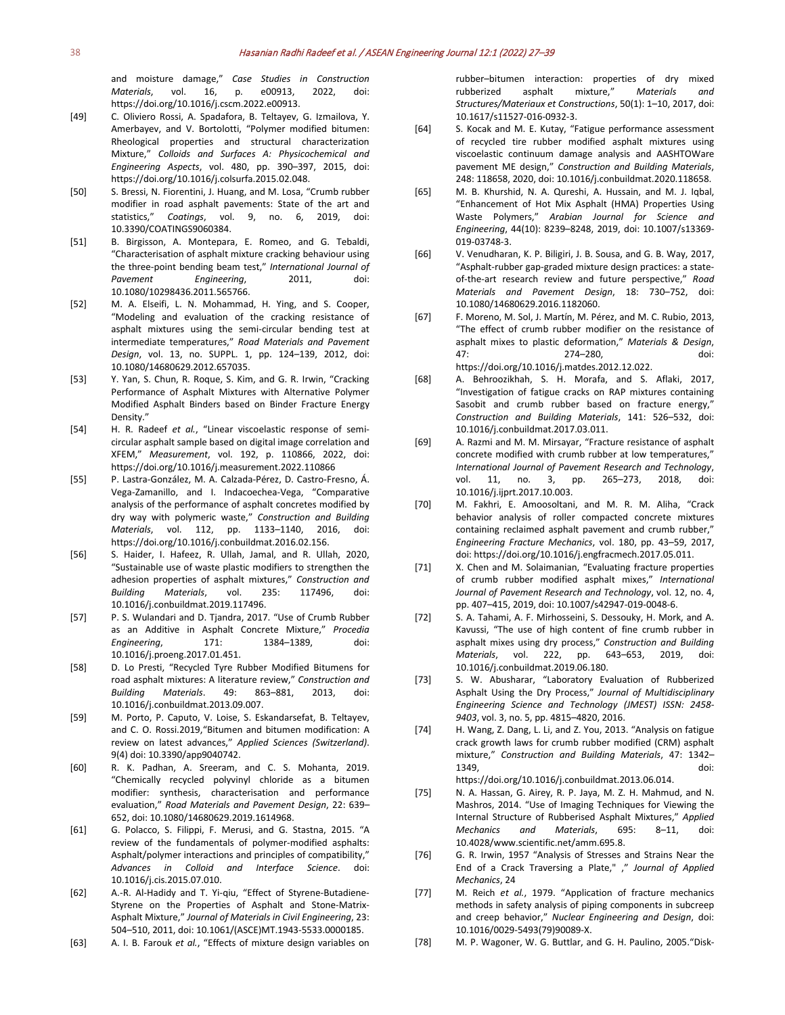and moisture damage," *Case Studies in Construction Materials*, vol. 16, p. e00913, 2022, doi: https://doi.org/10.1016/j.cscm.2022.e00913.

- [49] C. Oliviero Rossi, A. Spadafora, B. Teltayev, G. Izmailova, Y. Amerbayev, and V. Bortolotti, "Polymer modified bitumen: Rheological properties and structural characterization Mixture," *Colloids and Surfaces A: Physicochemical and Engineering Aspects*, vol. 480, pp. 390–397, 2015, doi: https://doi.org/10.1016/j.colsurfa.2015.02.048.
- [50] S. Bressi, N. Fiorentini, J. Huang, and M. Losa, "Crumb rubber modifier in road asphalt pavements: State of the art and statistics," *Coatings*, vol. 9, no. 6, 2019, doi: 10.3390/COATINGS9060384.
- [51] B. Birgisson, A. Montepara, E. Romeo, and G. Tebaldi, "Characterisation of asphalt mixture cracking behaviour using the three-point bending beam test," *International Journal of Pavement Engineering*, 2011, doi: 10.1080/10298436.2011.565766.
- [52] M. A. Elseifi, L. N. Mohammad, H. Ying, and S. Cooper, "Modeling and evaluation of the cracking resistance of asphalt mixtures using the semi-circular bending test at intermediate temperatures," *Road Materials and Pavement Design*, vol. 13, no. SUPPL. 1, pp. 124–139, 2012, doi: 10.1080/14680629.2012.657035.
- [53] Y. Yan, S. Chun, R. Roque, S. Kim, and G. R. Irwin, "Cracking Performance of Asphalt Mixtures with Alternative Polymer Modified Asphalt Binders based on Binder Fracture Energy Density."
- [54] H. R. Radeef *et al.*, "Linear viscoelastic response of semicircular asphalt sample based on digital image correlation and XFEM," *Measurement*, vol. 192, p. 110866, 2022, doi: https://doi.org/10.1016/j.measurement.2022.110866
- [55] P. Lastra-González, M. A. Calzada-Pérez, D. Castro-Fresno, Á. Vega-Zamanillo, and I. Indacoechea-Vega, "Comparative analysis of the performance of asphalt concretes modified by dry way with polymeric waste," *Construction and Building Materials*, vol. 112, pp. 1133–1140, 2016, doi: https://doi.org/10.1016/j.conbuildmat.2016.02.156.
- [56] S. Haider, I. Hafeez, R. Ullah, Jamal, and R. Ullah, 2020, "Sustainable use of waste plastic modifiers to strengthen the adhesion properties of asphalt mixtures," *Construction and Building Materials*, vol. 235: 117496, doi: 10.1016/j.conbuildmat.2019.117496.
- [57] P. S. Wulandari and D. Tjandra, 2017. "Use of Crumb Rubber as an Additive in Asphalt Concrete Mixture," *Procedia Engineering*, 171: 1384–1389, doi: 10.1016/j.proeng.2017.01.451.
- [58] D. Lo Presti, "Recycled Tyre Rubber Modified Bitumens for road asphalt mixtures: A literature review," *Construction and Building Materials*. 49: 863–881, 2013, doi: 10.1016/j.conbuildmat.2013.09.007.
- [59] M. Porto, P. Caputo, V. Loise, S. Eskandarsefat, B. Teltayev, and C. O. Rossi.2019,"Bitumen and bitumen modification: A review on latest advances," *Applied Sciences (Switzerland)*. 9(4) doi: 10.3390/app9040742.
- [60] R. K. Padhan, A. Sreeram, and C. S. Mohanta, 2019. "Chemically recycled polyvinyl chloride as a bitumen modifier: synthesis, characterisation and performance evaluation," *Road Materials and Pavement Design*, 22: 639– 652, doi: 10.1080/14680629.2019.1614968.
- [61] G. Polacco, S. Filippi, F. Merusi, and G. Stastna, 2015. "A review of the fundamentals of polymer-modified asphalts: Asphalt/polymer interactions and principles of compatibility," *Advances in Colloid and Interface Science*. doi: 10.1016/j.cis.2015.07.010.
- [62] A.-R. Al-Hadidy and T. Yi-qiu, "Effect of Styrene-Butadiene-Styrene on the Properties of Asphalt and Stone-Matrix-Asphalt Mixture," *Journal of Materials in Civil Engineering*, 23: 504–510, 2011, doi: 10.1061/(ASCE)MT.1943-5533.0000185.
- [63] A. I. B. Farouk *et al.*, "Effects of mixture design variables on

rubber–bitumen interaction: properties of dry mixed rubberized asphalt mixture," *Materials and Structures/Materiaux et Constructions*, 50(1): 1–10, 2017, doi: 10.1617/s11527-016-0932-3.

- [64] S. Kocak and M. E. Kutay, "Fatigue performance assessment of recycled tire rubber modified asphalt mixtures using viscoelastic continuum damage analysis and AASHTOWare pavement ME design," *Construction and Building Materials*, 248: 118658, 2020, doi: 10.1016/j.conbuildmat.2020.118658.
- [65] M. B. Khurshid, N. A. Qureshi, A. Hussain, and M. J. Iqbal, "Enhancement of Hot Mix Asphalt (HMA) Properties Using Waste Polymers," *Arabian Journal for Science and Engineering*, 44(10): 8239–8248, 2019, doi: 10.1007/s13369- 019-03748-3.
- [66] V. Venudharan, K. P. Biligiri, J. B. Sousa, and G. B. Way, 2017, "Asphalt-rubber gap-graded mixture design practices: a stateof-the-art research review and future perspective," *Road Materials and Pavement Design*, 18: 730–752, doi: 10.1080/14680629.2016.1182060.
- [67] F. Moreno, M. Sol, J. Martín, M. Pérez, and M. C. Rubio, 2013, "The effect of crumb rubber modifier on the resistance of asphalt mixes to plastic deformation," *Materials & Design*, 47: 274–280, doi: https://doi.org/10.1016/j.matdes.2012.12.022.
- [68] A. Behroozikhah, S. H. Morafa, and S. Aflaki, 2017, "Investigation of fatigue cracks on RAP mixtures containing Sasobit and crumb rubber based on fracture energy," *Construction and Building Materials*, 141: 526–532, doi: 10.1016/j.conbuildmat.2017.03.011.
- [69] A. Razmi and M. M. Mirsayar, "Fracture resistance of asphalt concrete modified with crumb rubber at low temperatures," *International Journal of Pavement Research and Technology*, vol. 11, no. 3, pp. 265–273, 2018, doi: 10.1016/j.ijprt.2017.10.003.
- [70] M. Fakhri, E. Amoosoltani, and M. R. M. Aliha, "Crack behavior analysis of roller compacted concrete mixtures containing reclaimed asphalt pavement and crumb rubber," *Engineering Fracture Mechanics*, vol. 180, pp. 43–59, 2017, doi: https://doi.org/10.1016/j.engfracmech.2017.05.011.
- [71] X. Chen and M. Solaimanian, "Evaluating fracture properties of crumb rubber modified asphalt mixes," *International Journal of Pavement Research and Technology*, vol. 12, no. 4, pp. 407–415, 2019, doi: 10.1007/s42947-019-0048-6.
- [72] S. A. Tahami, A. F. Mirhosseini, S. Dessouky, H. Mork, and A. Kavussi, "The use of high content of fine crumb rubber in asphalt mixes using dry process," *Construction and Building Materials*, vol. 222, pp. 643–653, 2019, doi: 10.1016/j.conbuildmat.2019.06.180.
- [73] S. W. Abusharar, "Laboratory Evaluation of Rubberized Asphalt Using the Dry Process," *Journal of Multidisciplinary Engineering Science and Technology (JMEST) ISSN: 2458- 9403*, vol. 3, no. 5, pp. 4815–4820, 2016.
- [74] H. Wang, Z. Dang, L. Li, and Z. You, 2013. "Analysis on fatigue crack growth laws for crumb rubber modified (CRM) asphalt mixture," *Construction and Building Materials*, 47: 1342– 1349, doi: https://doi.org/10.1016/j.conbuildmat.2013.06.014.
- [75] N. A. Hassan, G. Airey, R. P. Jaya, M. Z. H. Mahmud, and N. Mashros, 2014. "Use of Imaging Techniques for Viewing the Internal Structure of Rubberised Asphalt Mixtures," *Applied Mechanics and Materials*, 695: 8–11, doi: 10.4028/www.scientific.net/amm.695.8.
- [76] G. R. Irwin, 1957 "Analysis of Stresses and Strains Near the End of a Crack Traversing a Plate," ," *Journal of Applied Mechanics*, 24
- [77] M. Reich *et al.*, 1979. "Application of fracture mechanics methods in safety analysis of piping components in subcreep and creep behavior," *Nuclear Engineering and Design*, doi: 10.1016/0029-5493(79)90089-X.
- [78] M. P. Wagoner, W. G. Buttlar, and G. H. Paulino, 2005."Disk-